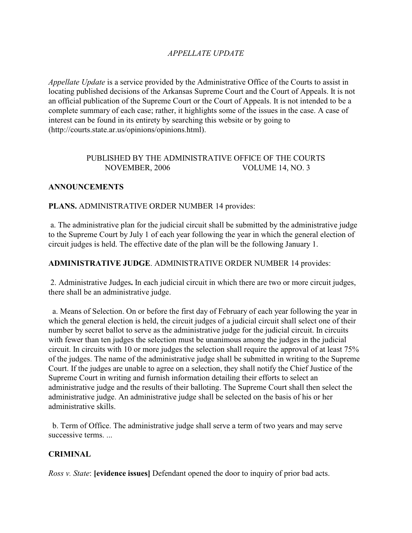# *APPELLATE UPDATE*

*Appellate Update* is a service provided by the Administrative Office of the Courts to assist in locating published decisions of the Arkansas Supreme Court and the Court of Appeals. It is not an official publication of the Supreme Court or the Court of Appeals. It is not intended to be a complete summary of each case; rather, it highlights some of the issues in the case. A case of interest can be found in its entirety by searching this website or by going to (http://courts.state.ar.us/opinions/opinions.html).

### PUBLISHED BY THE ADMINISTRATIVE OFFICE OF THE COURTS NOVEMBER, 2006 VOLUME 14, NO. 3

### **ANNOUNCEMENTS**

#### **PLANS.** ADMINISTRATIVE ORDER NUMBER 14 provides:

 a. The administrative plan for the judicial circuit shall be submitted by the administrative judge to the Supreme Court by July 1 of each year following the year in which the general election of circuit judges is held. The effective date of the plan will be the following January 1.

### **ADMINISTRATIVE JUDGE**. ADMINISTRATIVE ORDER NUMBER 14 provides:

 2. Administrative Judges**.** In each judicial circuit in which there are two or more circuit judges, there shall be an administrative judge.

 a. Means of Selection. On or before the first day of February of each year following the year in which the general election is held, the circuit judges of a judicial circuit shall select one of their number by secret ballot to serve as the administrative judge for the judicial circuit. In circuits with fewer than ten judges the selection must be unanimous among the judges in the judicial circuit. In circuits with 10 or more judges the selection shall require the approval of at least 75% of the judges. The name of the administrative judge shall be submitted in writing to the Supreme Court. If the judges are unable to agree on a selection, they shall notify the Chief Justice of the Supreme Court in writing and furnish information detailing their efforts to select an administrative judge and the results of their balloting. The Supreme Court shall then select the administrative judge. An administrative judge shall be selected on the basis of his or her administrative skills.

 b. Term of Office. The administrative judge shall serve a term of two years and may serve successive terms. ...

#### **CRIMINAL**

*Ross v. State*: **[evidence issues]** Defendant opened the door to inquiry of prior bad acts.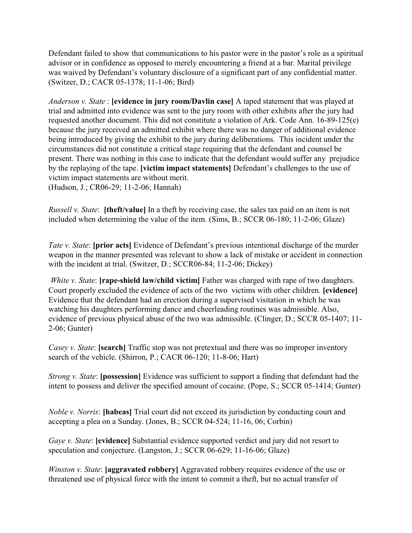Defendant failed to show that communications to his pastor were in the pastor's role as a spiritual advisor or in confidence as opposed to merely encountering a friend at a bar. Marital privilege was waived by Defendant's voluntary disclosure of a significant part of any confidential matter. (Switzer, D.; CACR 05-1378; 11-1-06; Bird)

*Anderson v. State* : **[evidence in jury room/Davlin case]** A taped statement that was played at trial and admitted into evidence was sent to the jury room with other exhibits after the jury had requested another document. This did not constitute a violation of Ark. Code Ann. 16-89-125(e) because the jury received an admitted exhibit where there was no danger of additional evidence being introduced by giving the exhibit to the jury during deliberations. This incident under the circumstances did not constitute a critical stage requiring that the defendant and counsel be present. There was nothing in this case to indicate that the defendant would suffer any prejudice by the replaying of the tape. **[victim impact statements]** Defendant's challenges to the use of victim impact statements are without merit. (Hudson, J.; CR06-29; 11-2-06; Hannah)

*Russell v. State*: **[theft/value]** In a theft by receiving case, the sales tax paid on an item is not included when determining the value of the item. (Sims, B.; SCCR 06-180; 11-2-06; Glaze)

*Tate v. State*: **[prior acts]** Evidence of Defendant's previous intentional discharge of the murder weapon in the manner presented was relevant to show a lack of mistake or accident in connection with the incident at trial. (Switzer, D.; SCCR06-84; 11-2-06; Dickey)

*White v. State*: **[rape-shield law/child victim]** Father was charged with rape of two daughters. Court properly excluded the evidence of acts of the two victims with other children. **[evidence]** Evidence that the defendant had an erection during a supervised visitation in which he was watching his daughters performing dance and cheerleading routines was admissible. Also, evidence of previous physical abuse of the two was admissible. (Clinger, D.; SCCR 05-1407; 11- 2-06; Gunter)

*Casey v. State*: **[search]** Traffic stop was not pretextual and there was no improper inventory search of the vehicle. (Shirron, P.; CACR 06-120; 11-8-06; Hart)

*Strong v. State*: **[possession]** Evidence was sufficient to support a finding that defendant had the intent to possess and deliver the specified amount of cocaine. (Pope, S.; SCCR 05-1414; Gunter)

*Noble v. Norris*: **[habeas]** Trial court did not exceed its jurisdiction by conducting court and accepting a plea on a Sunday. (Jones, B.; SCCR 04-524; 11-16, 06; Corbin)

*Gaye v. State*: **[evidence]** Substantial evidence supported verdict and jury did not resort to speculation and conjecture. (Langston, J.; SCCR 06-629; 11-16-06; Glaze)

*Winston v. State*: **[aggravated robbery]** Aggravated robbery requires evidence of the use or threatened use of physical force with the intent to commit a theft, but no actual transfer of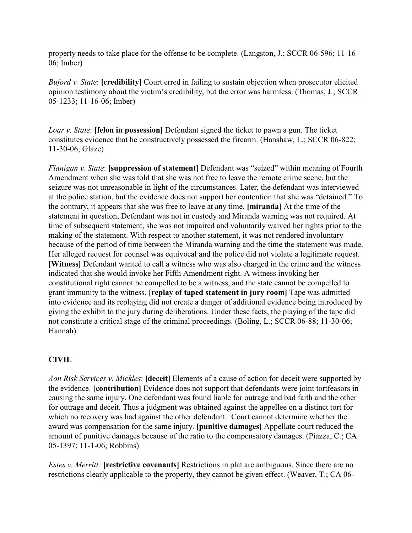property needs to take place for the offense to be complete. (Langston, J.; SCCR 06-596; 11-16- 06; Imber)

*Buford v. State*: **[credibility]** Court erred in failing to sustain objection when prosecutor elicited opinion testimony about the victim's credibility, but the error was harmless. (Thomas, J.; SCCR 05-1233; 11-16-06; Imber)

*Loar v. State*: **[felon in possession]** Defendant signed the ticket to pawn a gun. The ticket constitutes evidence that he constructively possessed the firearm. (Hanshaw, L.; SCCR 06-822; 11-30-06; Glaze)

*Flanigan v. State*: **[suppression of statement]** Defendant was "seized" within meaning of Fourth Amendment when she was told that she was not free to leave the remote crime scene, but the seizure was not unreasonable in light of the circumstances. Later, the defendant was interviewed at the police station, but the evidence does not support her contention that she was "detained." To the contrary, it appears that she was free to leave at any time. **[miranda]** At the time of the statement in question, Defendant was not in custody and Miranda warning was not required. At time of subsequent statement, she was not impaired and voluntarily waived her rights prior to the making of the statement. With respect to another statement, it was not rendered involuntary because of the period of time between the Miranda warning and the time the statement was made. Her alleged request for counsel was equivocal and the police did not violate a legitimate request. **[Witness]** Defendant wanted to call a witness who was also charged in the crime and the witness indicated that she would invoke her Fifth Amendment right. A witness invoking her constitutional right cannot be compelled to be a witness, and the state cannot be compelled to grant immunity to the witness. **[replay of taped statement in jury room]** Tape was admitted into evidence and its replaying did not create a danger of additional evidence being introduced by giving the exhibit to the jury during deliberations. Under these facts, the playing of the tape did not constitute a critical stage of the criminal proceedings. (Boling, L.; SCCR 06-88; 11-30-06; Hannah)

# **CIVIL**

*Aon Risk Services v. Mickles*: **[deceit]** Elements of a cause of action for deceit were supported by the evidence. **[contribution]** Evidence does not support that defendants were joint tortfeasors in causing the same injury. One defendant was found liable for outrage and bad faith and the other for outrage and deceit. Thus a judgment was obtained against the appellee on a distinct tort for which no recovery was had against the other defendant. Court cannot determine whether the award was compensation for the same injury. **[punitive damages]** Appellate court reduced the amount of punitive damages because of the ratio to the compensatory damages. (Piazza, C.; CA 05-1397; 11-1-06; Robbins)

*Estes v. Merritt:* **[restrictive covenants]** Restrictions in plat are ambiguous. Since there are no restrictions clearly applicable to the property, they cannot be given effect. (Weaver, T.; CA 06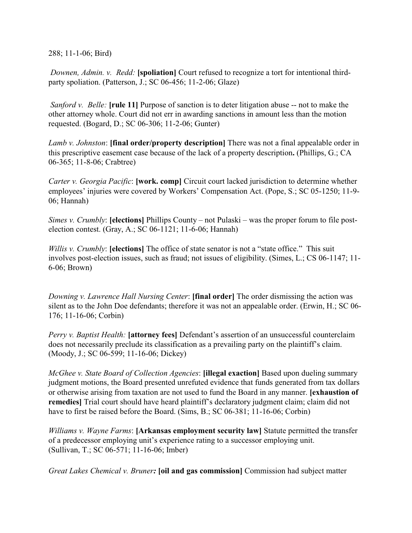288; 11-1-06; Bird)

 *Downen, Admin. v. Redd:* **[spoliation]** Court refused to recognize a tort for intentional thirdparty spoliation. (Patterson, J.; SC 06-456; 11-2-06; Glaze)

 *Sanford v. Belle:* **[rule 11]** Purpose of sanction is to deter litigation abuse -- not to make the other attorney whole. Court did not err in awarding sanctions in amount less than the motion requested. (Bogard, D.; SC 06-306; 11-2-06; Gunter)

*Lamb v. Johnston*: **[final order/property description]** There was not a final appealable order in this prescriptive easement case because of the lack of a property description**.** (Phillips, G.; CA 06-365; 11-8-06; Crabtree)

*Carter v. Georgia Pacific*: **[work. comp]** Circuit court lacked jurisdiction to determine whether employees' injuries were covered by Workers' Compensation Act. (Pope, S.; SC 05-1250; 11-9- 06; Hannah)

*Simes v. Crumbly*: **[elections]** Phillips County – not Pulaski – was the proper forum to file postelection contest. (Gray, A.; SC 06-1121; 11-6-06; Hannah)

*Willis v. Crumbly*: **[elections]** The office of state senator is not a "state office." This suit involves post-election issues, such as fraud; not issues of eligibility. (Simes, L.; CS 06-1147; 11- 6-06; Brown)

*Downing v. Lawrence Hall Nursing Center*: **[final order]** The order dismissing the action was silent as to the John Doe defendants; therefore it was not an appealable order. (Erwin, H.; SC 06- 176; 11-16-06; Corbin)

*Perry v. Baptist Health:* **[attorney fees]** Defendant's assertion of an unsuccessful counterclaim does not necessarily preclude its classification as a prevailing party on the plaintiff's claim. (Moody, J.; SC 06-599; 11-16-06; Dickey)

*McGhee v. State Board of Collection Agencies*: **[illegal exaction]** Based upon dueling summary judgment motions, the Board presented unrefuted evidence that funds generated from tax dollars or otherwise arising from taxation are not used to fund the Board in any manner. **[exhaustion of remedies]** Trial court should have heard plaintiff's declaratory judgment claim; claim did not have to first be raised before the Board. (Sims, B.; SC 06-381; 11-16-06; Corbin)

*Williams v. Wayne Farms*: **[Arkansas employment security law]** Statute permitted the transfer of a predecessor employing unit's experience rating to a successor employing unit. (Sullivan, T.; SC 06-571; 11-16-06; Imber)

*Great Lakes Chemical v. Bruner:* **[oil and gas commission]** Commission had subject matter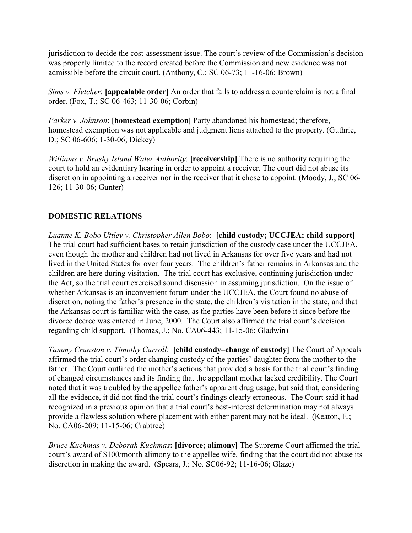jurisdiction to decide the cost-assessment issue. The court's review of the Commission's decision was properly limited to the record created before the Commission and new evidence was not admissible before the circuit court. (Anthony, C.; SC 06-73; 11-16-06; Brown)

*Sims v. Fletcher*: **[appealable order]** An order that fails to address a counterclaim is not a final order. (Fox, T.; SC 06-463; 11-30-06; Corbin)

*Parker v. Johnson*: **[homestead exemption]** Party abandoned his homestead; therefore, homestead exemption was not applicable and judgment liens attached to the property. (Guthrie, D.; SC 06-606; 1-30-06; Dickey)

*Williams v. Brushy Island Water Authority*: **[receivership]** There is no authority requiring the court to hold an evidentiary hearing in order to appoint a receiver. The court did not abuse its discretion in appointing a receiver nor in the receiver that it chose to appoint. (Moody, J.; SC 06- 126; 11-30-06; Gunter)

## **DOMESTIC RELATIONS**

*Luanne K. Bobo Uttley v. Christopher Allen Bobo*: **[child custody; UCCJEA; child support]** The trial court had sufficient bases to retain jurisdiction of the custody case under the UCCJEA, even though the mother and children had not lived in Arkansas for over five years and had not lived in the United States for over four years. The children's father remains in Arkansas and the children are here during visitation. The trial court has exclusive, continuing jurisdiction under the Act, so the trial court exercised sound discussion in assuming jurisdiction. On the issue of whether Arkansas is an inconvenient forum under the UCCJEA, the Court found no abuse of discretion, noting the father's presence in the state, the children's visitation in the state, and that the Arkansas court is familiar with the case, as the parties have been before it since before the divorce decree was entered in June, 2000. The Court also affirmed the trial court's decision regarding child support. (Thomas, J.; No. CA06-443; 11-15-06; Gladwin)

*Tammy Cranston v. Timothy Carroll*: **[child custody–change of custody]** The Court of Appeals affirmed the trial court's order changing custody of the parties' daughter from the mother to the father. The Court outlined the mother's actions that provided a basis for the trial court's finding of changed circumstances and its finding that the appellant mother lacked credibility. The Court noted that it was troubled by the appellee father's apparent drug usage, but said that, considering all the evidence, it did not find the trial court's findings clearly erroneous. The Court said it had recognized in a previous opinion that a trial court's best-interest determination may not always provide a flawless solution where placement with either parent may not be ideal. (Keaton, E.; No. CA06-209; 11-15-06; Crabtree)

*Bruce Kuchmas v. Deborah Kuchmas***: [divorce; alimony]** The Supreme Court affirmed the trial court's award of \$100/month alimony to the appellee wife, finding that the court did not abuse its discretion in making the award. (Spears, J.; No. SC06-92; 11-16-06; Glaze)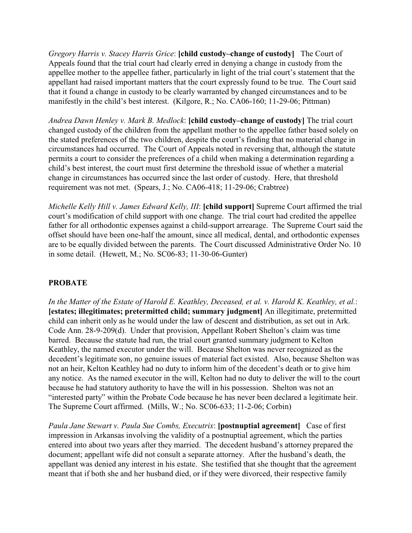*Gregory Harris v. Stacey Harris Grice*: **[child custody–change of custody]** The Court of Appeals found that the trial court had clearly erred in denying a change in custody from the appellee mother to the appellee father, particularly in light of the trial court's statement that the appellant had raised important matters that the court expressly found to be true. The Court said that it found a change in custody to be clearly warranted by changed circumstances and to be manifestly in the child's best interest. (Kilgore, R.; No. CA06-160; 11-29-06; Pittman)

*Andrea Dawn Henley v. Mark B. Medlock*: **[child custody–change of custody]** The trial court changed custody of the children from the appellant mother to the appellee father based solely on the stated preferences of the two children, despite the court's finding that no material change in circumstances had occurred. The Court of Appeals noted in reversing that, although the statute permits a court to consider the preferences of a child when making a determination regarding a child's best interest, the court must first determine the threshold issue of whether a material change in circumstances has occurred since the last order of custody. Here, that threshold requirement was not met. (Spears, J.; No. CA06-418; 11-29-06; Crabtree)

*Michelle Kelly Hill v. James Edward Kelly, III*: **[child support]** Supreme Court affirmed the trial court's modification of child support with one change. The trial court had credited the appellee father for all orthodontic expenses against a child-support arrearage. The Supreme Court said the offset should have been one-half the amount, since all medical, dental, and orthodontic expenses are to be equally divided between the parents. The Court discussed Administrative Order No. 10 in some detail. (Hewett, M.; No. SC06-83; 11-30-06-Gunter)

## **PROBATE**

*In the Matter of the Estate of Harold E. Keathley, Deceased, et al. v. Harold K. Keathley, et al.*: **[estates; illegitimates; pretermitted child; summary judgment]** An illegitimate, pretermitted child can inherit only as he would under the law of descent and distribution, as set out in Ark. Code Ann. 28-9-209(d). Under that provision, Appellant Robert Shelton's claim was time barred. Because the statute had run, the trial court granted summary judgment to Kelton Keathley, the named executor under the will. Because Shelton was never recognized as the decedent's legitimate son, no genuine issues of material fact existed. Also, because Shelton was not an heir, Kelton Keathley had no duty to inform him of the decedent's death or to give him any notice. As the named executor in the will, Kelton had no duty to deliver the will to the court because he had statutory authority to have the will in his possession. Shelton was not an "interested party" within the Probate Code because he has never been declared a legitimate heir. The Supreme Court affirmed. (Mills, W.; No. SC06-633; 11-2-06; Corbin)

*Paula Jane Stewart v. Paula Sue Combs, Executrix*: **[postnuptial agreement]** Case of first impression in Arkansas involving the validity of a postnuptial agreement, which the parties entered into about two years after they married. The decedent husband's attorney prepared the document; appellant wife did not consult a separate attorney. After the husband's death, the appellant was denied any interest in his estate. She testified that she thought that the agreement meant that if both she and her husband died, or if they were divorced, their respective family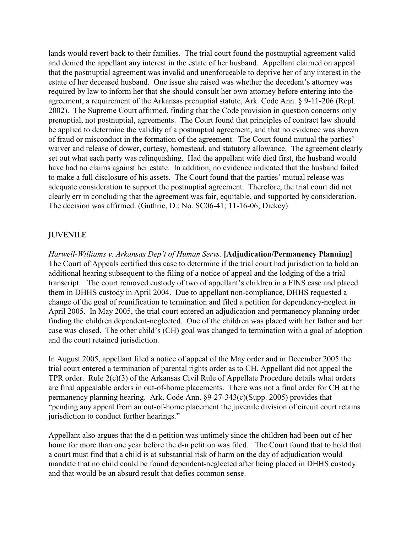lands would revert back to their families. The trial court found the postnuptial agreement valid and denied the appellant any interest in the estate of her husband. Appellant claimed on appeal that the postnuptial agreement was invalid and unenforceable to deprive her of any interest in the estate of her deceased husband. One issue she raised was whether the decedent's attorney was required by law to inform her that she should consult her own attorney before entering into the agreement, a requirement of the Arkansas prenuptial statute, Ark. Code Ann. § 9-11-206 (Repl. 2002). The Supreme Court affirmed, finding that the Code provision in question concerns only prenuptial, not postnuptial, agreements. The Court found that principles of contract law should be applied to determine the validity of a postnuptial agreement, and that no evidence was shown of fraud or misconduct in the formation of the agreement. The Court found mutual the parties' waiver and release of dower, curtesy, homestead, and statutory allowance. The agreement clearly set out what each party was relinquishing. Had the appellant wife died first, the husband would have had no claims against her estate. In addition, no evidence indicated that the husband failed to make a full disclosure of his assets. The Court found that the parties' mutual release was adequate consideration to support the postnuptial agreement. Therefore, the trial court did not clearly err in concluding that the agreement was fair, equitable, and supported by consideration. The decision was affirmed. (Guthrie, D.; No. SC06-41; 11-16-06; Dickey)

## **JUVENILE**

*Harwell-Williams v. Arkansas Dep't of Human Servs.* **[Adjudication/Permanency Planning]** The Court of Appeals certified this case to determine if the trial court had jurisdiction to hold an additional hearing subsequent to the filing of a notice of appeal and the lodging of the a trial transcript. The court removed custody of two of appellant's children in a FINS case and placed them in DHHS custody in April 2004. Due to appellant non-compliance, DHHS requested a change of the goal of reunification to termination and filed a petition for dependency-neglect in April 2005. In May 2005, the trial court entered an adjudication and permanency planning order finding the children dependent-neglected. One of the children was placed with her father and her case was closed. The other child's (CH) goal was changed to termination with a goal of adoption and the court retained jurisdiction.

In August 2005, appellant filed a notice of appeal of the May order and in December 2005 the trial court entered a termination of parental rights order as to CH. Appellant did not appeal the TPR order. Rule 2(c)(3) of the Arkansas Civil Rule of Appellate Procedure details what orders are final appealable orders in out-of-home placements. There was not a final order for CH at the permanency planning hearing. Ark. Code Ann. §9-27-343(c)(Supp. 2005) provides that "pending any appeal from an out-of-home placement the juvenile division of circuit court retains jurisdiction to conduct further hearings."

Appellant also argues that the d-n petition was untimely since the children had been out of her home for more than one year before the d-n petition was filed. The Court found that to hold that a court must find that a child is at substantial risk of harm on the day of adjudication would mandate that no child could be found dependent-neglected after being placed in DHHS custody and that would be an absurd result that defies common sense.